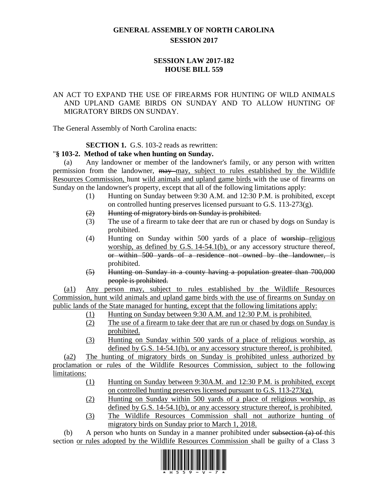# **GENERAL ASSEMBLY OF NORTH CAROLINA SESSION 2017**

## **SESSION LAW 2017-182 HOUSE BILL 559**

## AN ACT TO EXPAND THE USE OF FIREARMS FOR HUNTING OF WILD ANIMALS AND UPLAND GAME BIRDS ON SUNDAY AND TO ALLOW HUNTING OF MIGRATORY BIRDS ON SUNDAY.

The General Assembly of North Carolina enacts:

## **SECTION 1.** G.S. 103-2 reads as rewritten:

## "**§ 103-2. Method of take when hunting on Sunday.**

(a) Any landowner or member of the landowner's family, or any person with written permission from the landowner, may may, subject to rules established by the Wildlife Resources Commission, hunt wild animals and upland game birds with the use of firearms on Sunday on the landowner's property, except that all of the following limitations apply:

- (1) Hunting on Sunday between 9:30 A.M. and 12:30 P.M. is prohibited, except on controlled hunting preserves licensed pursuant to G.S. 113-273(g).
- (2) Hunting of migratory birds on Sunday is prohibited.
- (3) The use of a firearm to take deer that are run or chased by dogs on Sunday is prohibited.
- $(4)$  Hunting on Sunday within 500 yards of a place of worship religious worship, as defined by G.S. 14-54.1(b), or any accessory structure thereof, or within 500 yards of a residence not owned by the landowner, is prohibited.
- (5) Hunting on Sunday in a county having a population greater than 700,000 people is prohibited.

(a1) Any person may, subject to rules established by the Wildlife Resources Commission, hunt wild animals and upland game birds with the use of firearms on Sunday on public lands of the State managed for hunting, except that the following limitations apply:

- (1) Hunting on Sunday between 9:30 A.M. and 12:30 P.M. is prohibited.
- (2) The use of a firearm to take deer that are run or chased by dogs on Sunday is prohibited.
- (3) Hunting on Sunday within 500 yards of a place of religious worship, as defined by G.S. 14-54.1(b), or any accessory structure thereof, is prohibited.

(a2) The hunting of migratory birds on Sunday is prohibited unless authorized by proclamation or rules of the Wildlife Resources Commission, subject to the following limitations:

- (1) Hunting on Sunday between 9:30A.M. and 12:30 P.M. is prohibited, except on controlled hunting preserves licensed pursuant to G.S. 113-273(g).
- (2) Hunting on Sunday within 500 yards of a place of religious worship, as defined by G.S. 14-54.1(b), or any accessory structure thereof, is prohibited.
- (3) The Wildlife Resources Commission shall not authorize hunting of migratory birds on Sunday prior to March 1, 2018.

(b) A person who hunts on Sunday in a manner prohibited under subsection  $(a)$  of this section or rules adopted by the Wildlife Resources Commission shall be guilty of a Class 3

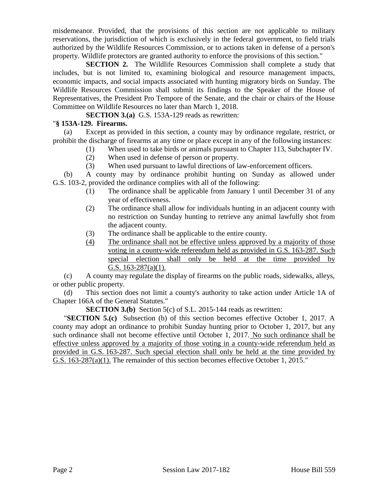misdemeanor. Provided, that the provisions of this section are not applicable to military reservations, the jurisdiction of which is exclusively in the federal government, to field trials authorized by the Wildlife Resources Commission, or to actions taken in defense of a person's property. Wildlife protectors are granted authority to enforce the provisions of this section."

**SECTION 2.** The Wildlife Resources Commission shall complete a study that includes, but is not limited to, examining biological and resource management impacts, economic impacts, and social impacts associated with hunting migratory birds on Sunday. The Wildlife Resources Commission shall submit its findings to the Speaker of the House of Representatives, the President Pro Tempore of the Senate, and the chair or chairs of the House Committee on Wildlife Resources no later than March 1, 2018.

**SECTION 3.(a)** G.S. 153A-129 reads as rewritten:

#### "**§ 153A-129. Firearms.**

(a) Except as provided in this section, a county may by ordinance regulate, restrict, or prohibit the discharge of firearms at any time or place except in any of the following instances:

- (1) When used to take birds or animals pursuant to Chapter 113, Subchapter IV.
- (2) When used in defense of person or property.
- (3) When used pursuant to lawful directions of law-enforcement officers.

(b) A county may by ordinance prohibit hunting on Sunday as allowed under G.S. 103-2, provided the ordinance complies with all of the following:

- (1) The ordinance shall be applicable from January 1 until December 31 of any year of effectiveness.
- (2) The ordinance shall allow for individuals hunting in an adjacent county with no restriction on Sunday hunting to retrieve any animal lawfully shot from the adjacent county.
- (3) The ordinance shall be applicable to the entire county.
- (4) The ordinance shall not be effective unless approved by a majority of those voting in a county-wide referendum held as provided in G.S. 163-287. Such special election shall only be held at the time provided by G.S. 163-287(a)(1).

(c) A county may regulate the display of firearms on the public roads, sidewalks, alleys, or other public property.

(d) This section does not limit a county's authority to take action under Article 1A of Chapter 166A of the General Statutes."

**SECTION 3.(b)** Section 5(c) of S.L. 2015-144 reads as rewritten:

"**SECTION 5.(c)** Subsection (b) of this section becomes effective October 1, 2017. A county may adopt an ordinance to prohibit Sunday hunting prior to October 1, 2017, but any such ordinance shall not become effective until October 1, 2017. No such ordinance shall be effective unless approved by a majority of those voting in a county-wide referendum held as provided in G.S. 163-287. Such special election shall only be held at the time provided by G.S. 163-287(a)(1). The remainder of this section becomes effective October 1, 2015."